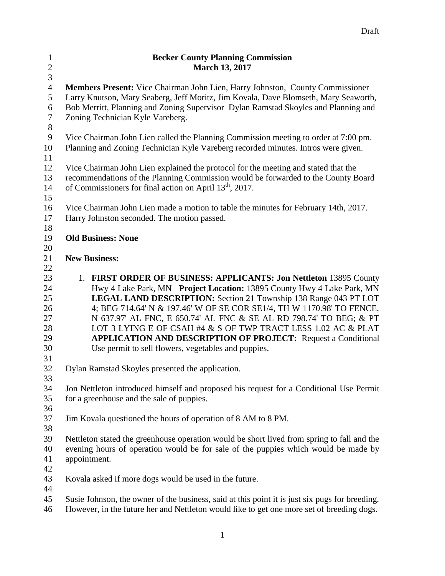| $\mathbf{1}$     | <b>Becker County Planning Commission</b>                                                       |  |  |  |  |
|------------------|------------------------------------------------------------------------------------------------|--|--|--|--|
| $\sqrt{2}$       | <b>March 13, 2017</b>                                                                          |  |  |  |  |
| $\overline{3}$   |                                                                                                |  |  |  |  |
| $\overline{4}$   | Members Present: Vice Chairman John Lien, Harry Johnston, County Commissioner                  |  |  |  |  |
| 5                | Larry Knutson, Mary Seaberg, Jeff Moritz, Jim Kovala, Dave Blomseth, Mary Seaworth,            |  |  |  |  |
| 6                | Bob Merritt, Planning and Zoning Supervisor Dylan Ramstad Skoyles and Planning and             |  |  |  |  |
| $\boldsymbol{7}$ | Zoning Technician Kyle Vareberg.                                                               |  |  |  |  |
| $8\,$            |                                                                                                |  |  |  |  |
| 9                | Vice Chairman John Lien called the Planning Commission meeting to order at 7:00 pm.            |  |  |  |  |
| 10               | Planning and Zoning Technician Kyle Vareberg recorded minutes. Intros were given.              |  |  |  |  |
| 11               |                                                                                                |  |  |  |  |
| 12               | Vice Chairman John Lien explained the protocol for the meeting and stated that the             |  |  |  |  |
| 13               | recommendations of the Planning Commission would be forwarded to the County Board              |  |  |  |  |
| 14               | of Commissioners for final action on April 13 <sup>th</sup> , 2017.                            |  |  |  |  |
| 15               |                                                                                                |  |  |  |  |
| 16               | Vice Chairman John Lien made a motion to table the minutes for February 14th, 2017.            |  |  |  |  |
| 17               | Harry Johnston seconded. The motion passed.                                                    |  |  |  |  |
| 18               |                                                                                                |  |  |  |  |
| 19               | <b>Old Business: None</b>                                                                      |  |  |  |  |
| 20               |                                                                                                |  |  |  |  |
| 21               | <b>New Business:</b>                                                                           |  |  |  |  |
| 22               |                                                                                                |  |  |  |  |
| 23               | 1. FIRST ORDER OF BUSINESS: APPLICANTS: Jon Nettleton 13895 County                             |  |  |  |  |
| 24               | Hwy 4 Lake Park, MN Project Location: 13895 County Hwy 4 Lake Park, MN                         |  |  |  |  |
| 25               | LEGAL LAND DESCRIPTION: Section 21 Township 138 Range 043 PT LOT                               |  |  |  |  |
| 26               | 4; BEG 714.64' N & 197.46' W OF SE COR SE1/4, TH W 1170.98' TO FENCE,                          |  |  |  |  |
| 27               | N 637.97' AL FNC, E 650.74' AL FNC & SE AL RD 798.74' TO BEG; & PT                             |  |  |  |  |
| 28               | LOT 3 LYING E OF CSAH #4 & S OF TWP TRACT LESS 1.02 AC & PLAT                                  |  |  |  |  |
| 29               | <b>APPLICATION AND DESCRIPTION OF PROJECT:</b> Request a Conditional                           |  |  |  |  |
| 30               | Use permit to sell flowers, vegetables and puppies.                                            |  |  |  |  |
| 31               |                                                                                                |  |  |  |  |
| 32               | Dylan Ramstad Skoyles presented the application.                                               |  |  |  |  |
| 33               |                                                                                                |  |  |  |  |
| 34               | Jon Nettleton introduced himself and proposed his request for a Conditional Use Permit         |  |  |  |  |
| 35               | for a greenhouse and the sale of puppies.                                                      |  |  |  |  |
| 36               |                                                                                                |  |  |  |  |
| 37               | Jim Kovala questioned the hours of operation of 8 AM to 8 PM.                                  |  |  |  |  |
| 38               |                                                                                                |  |  |  |  |
| 39               | Nettleton stated the greenhouse operation would be short lived from spring to fall and the     |  |  |  |  |
| 40               | evening hours of operation would be for sale of the puppies which would be made by             |  |  |  |  |
| 41               | appointment.                                                                                   |  |  |  |  |
| 42               |                                                                                                |  |  |  |  |
| 43               | Kovala asked if more dogs would be used in the future.                                         |  |  |  |  |
| 44               |                                                                                                |  |  |  |  |
| 45               | Susie Johnson, the owner of the business, said at this point it is just six pugs for breeding. |  |  |  |  |
| 46               | However, in the future her and Nettleton would like to get one more set of breeding dogs.      |  |  |  |  |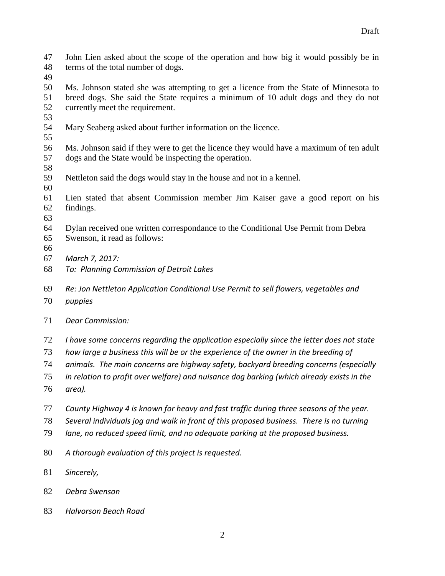John Lien asked about the scope of the operation and how big it would possibly be in terms of the total number of dogs.

 Ms. Johnson stated she was attempting to get a licence from the State of Minnesota to breed dogs. She said the State requires a minimum of 10 adult dogs and they do not currently meet the requirement.

- Mary Seaberg asked about further information on the licence.
- Ms. Johnson said if they were to get the licence they would have a maximum of ten adult dogs and the State would be inspecting the operation.
- 
- Nettleton said the dogs would stay in the house and not in a kennel.
- Lien stated that absent Commission member Jim Kaiser gave a good report on his findings.
- 
- Dylan received one written correspondance to the Conditional Use Permit from Debra Swenson, it read as follows:
- 
- *March 7, 2017:*
- *To: Planning Commission of Detroit Lakes*
- *Re: Jon Nettleton Application Conditional Use Permit to sell flowers, vegetables and*
- *puppies*
- *Dear Commission:*
- *I have some concerns regarding the application especially since the letter does not state*
- *how large a business this will be or the experience of the owner in the breeding of*
- *animals. The main concerns are highway safety, backyard breeding concerns (especially*
- *in relation to profit over welfare) and nuisance dog barking (which already exists in the*
- *area).*
- *County Highway 4 is known for heavy and fast traffic during three seasons of the year.*
- *Several individuals jog and walk in front of this proposed business. There is no turning*
- *lane, no reduced speed limit, and no adequate parking at the proposed business.*
- *A thorough evaluation of this project is requested.*
- *Sincerely,*
- *Debra Swenson*
- *Halvorson Beach Road*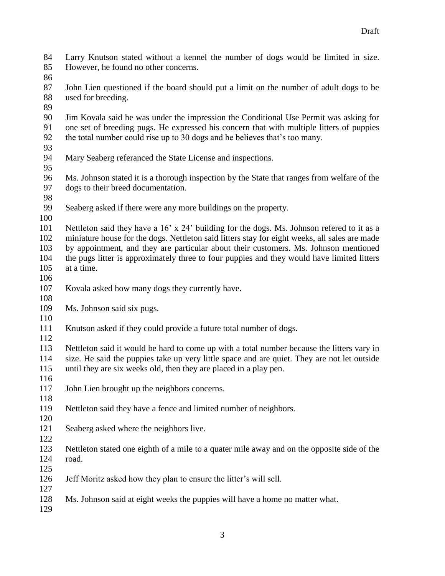- Larry Knutson stated without a kennel the number of dogs would be limited in size. However, he found no other concerns.
- 
- John Lien questioned if the board should put a limit on the number of adult dogs to be used for breeding.
- 
- Jim Kovala said he was under the impression the Conditional Use Permit was asking for one set of breeding pugs. He expressed his concern that with multiple litters of puppies the total number could rise up to 30 dogs and he believes that's too many.
- 
- Mary Seaberg referanced the State License and inspections.
- 
- Ms. Johnson stated it is a thorough inspection by the State that ranges from welfare of the dogs to their breed documentation.
- 
- Seaberg asked if there were any more buildings on the property.
- 

 Nettleton said they have a 16' x 24' building for the dogs. Ms. Johnson refered to it as a miniature house for the dogs. Nettleton said litters stay for eight weeks, all sales are made by appointment, and they are particular about their customers. Ms. Johnson mentioned the pugs litter is approximately three to four puppies and they would have limited litters at a time.

- 
- Kovala asked how many dogs they currently have.
- Ms. Johnson said six pugs.
- 

Knutson asked if they could provide a future total number of dogs.

 Nettleton said it would be hard to come up with a total number because the litters vary in size. He said the puppies take up very little space and are quiet. They are not let outside until they are six weeks old, then they are placed in a play pen.

- 
- 117 John Lien brought up the neighbors concerns.
- 

- Nettleton said they have a fence and limited number of neighbors.
- Seaberg asked where the neighbors live.
- Nettleton stated one eighth of a mile to a quater mile away and on the opposite side of the road.
- 
- Jeff Moritz asked how they plan to ensure the litter's will sell.
- Ms. Johnson said at eight weeks the puppies will have a home no matter what.
-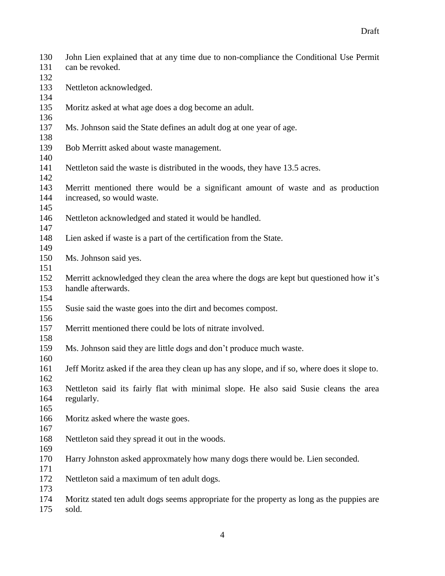| 130<br>131<br>132 | John Lien explained that at any time due to non-compliance the Conditional Use Permit<br>can be revoked.       |
|-------------------|----------------------------------------------------------------------------------------------------------------|
| 133<br>134        | Nettleton acknowledged.                                                                                        |
| 135<br>136        | Moritz asked at what age does a dog become an adult.                                                           |
| 137<br>138        | Ms. Johnson said the State defines an adult dog at one year of age.                                            |
| 139<br>140        | Bob Merritt asked about waste management.                                                                      |
| 141<br>142        | Nettleton said the waste is distributed in the woods, they have 13.5 acres.                                    |
| 143<br>144<br>145 | Merritt mentioned there would be a significant amount of waste and as production<br>increased, so would waste. |
| 146<br>147        | Nettleton acknowledged and stated it would be handled.                                                         |
| 148<br>149        | Lien asked if waste is a part of the certification from the State.                                             |
| 150<br>151        | Ms. Johnson said yes.                                                                                          |
| 152<br>153<br>154 | Merritt acknowledged they clean the area where the dogs are kept but questioned how it's<br>handle afterwards. |
| 155<br>156        | Susie said the waste goes into the dirt and becomes compost.                                                   |
| 157<br>158        | Merritt mentioned there could be lots of nitrate involved.                                                     |
| 159<br>160        | Ms. Johnson said they are little dogs and don't produce much waste.                                            |
| 161<br>162        | Jeff Moritz asked if the area they clean up has any slope, and if so, where does it slope to.                  |
| 163<br>164<br>165 | Nettleton said its fairly flat with minimal slope. He also said Susie cleans the area<br>regularly.            |
| 166<br>167        | Moritz asked where the waste goes.                                                                             |
| 168<br>169        | Nettleton said they spread it out in the woods.                                                                |
| 170<br>171        | Harry Johnston asked approxmately how many dogs there would be. Lien seconded.                                 |
| 172<br>173        | Nettleton said a maximum of ten adult dogs.                                                                    |
| 174<br>175        | Moritz stated ten adult dogs seems appropriate for the property as long as the puppies are<br>sold.            |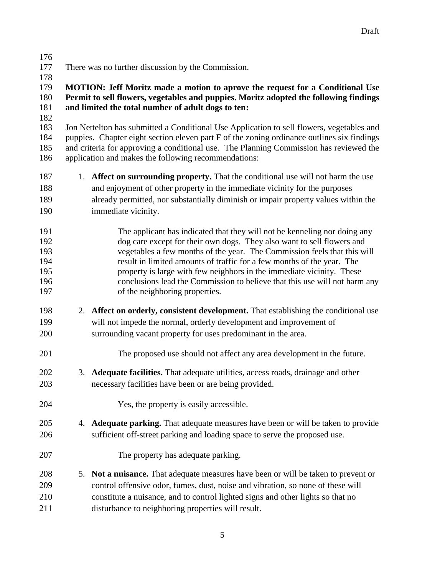- There was no further discussion by the Commission.
- 

## **MOTION: Jeff Moritz made a motion to aprove the request for a Conditional Use Permit to sell flowers, vegetables and puppies. Moritz adopted the following findings and limited the total number of adult dogs to ten:**

 Jon Nettelton has submitted a Conditional Use Application to sell flowers, vegetables and puppies. Chapter eight section eleven part F of the zoning ordinance outlines six findings and criteria for approving a conditional use. The Planning Commission has reviewed the application and makes the following recommendations:

- 1. **Affect on surrounding property.** That the conditional use will not harm the use and enjoyment of other property in the immediate vicinity for the purposes already permitted, nor substantially diminish or impair property values within the
- immediate vicinity.
- The applicant has indicated that they will not be kenneling nor doing any dog care except for their own dogs. They also want to sell flowers and vegetables a few months of the year. The Commission feels that this will result in limited amounts of traffic for a few months of the year. The property is large with few neighbors in the immediate vicinity. These conclusions lead the Commission to believe that this use will not harm any 197 of the neighboring properties.
- 2. **Affect on orderly, consistent development.** That establishing the conditional use will not impede the normal, orderly development and improvement of surrounding vacant property for uses predominant in the area.
- The proposed use should not affect any area development in the future.
- 3. **Adequate facilities.** That adequate utilities, access roads, drainage and other necessary facilities have been or are being provided.
- Yes, the property is easily accessible.
- 4. **Adequate parking.** That adequate measures have been or will be taken to provide sufficient off-street parking and loading space to serve the proposed use.
- The property has adequate parking.
- 5. **Not a nuisance.** That adequate measures have been or will be taken to prevent or control offensive odor, fumes, dust, noise and vibration, so none of these will constitute a nuisance, and to control lighted signs and other lights so that no disturbance to neighboring properties will result.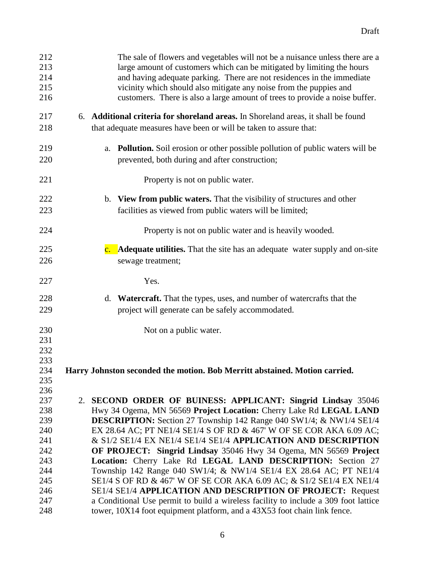| 212<br>213<br>214<br>215<br>216 | The sale of flowers and vegetables will not be a nuisance unless there are a<br>large amount of customers which can be mitigated by limiting the hours<br>and having adequate parking. There are not residences in the immediate<br>vicinity which should also mitigate any noise from the puppies and<br>customers. There is also a large amount of trees to provide a noise buffer. |
|---------------------------------|---------------------------------------------------------------------------------------------------------------------------------------------------------------------------------------------------------------------------------------------------------------------------------------------------------------------------------------------------------------------------------------|
| 217<br>218                      | 6. Additional criteria for shoreland areas. In Shoreland areas, it shall be found<br>that adequate measures have been or will be taken to assure that:                                                                                                                                                                                                                                |
| 219<br>220                      | <b>Pollution.</b> Soil erosion or other possible pollution of public waters will be<br>a.<br>prevented, both during and after construction;                                                                                                                                                                                                                                           |
| 221                             | Property is not on public water.                                                                                                                                                                                                                                                                                                                                                      |
| 222<br>223                      | b. View from public waters. That the visibility of structures and other<br>facilities as viewed from public waters will be limited;                                                                                                                                                                                                                                                   |
| 224                             | Property is not on public water and is heavily wooded.                                                                                                                                                                                                                                                                                                                                |
| 225<br>226                      | <b>c.</b> Adequate utilities. That the site has an adequate water supply and on-site<br>sewage treatment;                                                                                                                                                                                                                                                                             |
| 227                             | Yes.                                                                                                                                                                                                                                                                                                                                                                                  |
| 228<br>229                      | d. Watercraft. That the types, uses, and number of watercrafts that the<br>project will generate can be safely accommodated.                                                                                                                                                                                                                                                          |
| 230<br>231<br>232<br>233        | Not on a public water.                                                                                                                                                                                                                                                                                                                                                                |
| 234<br>235<br>236               | Harry Johnston seconded the motion. Bob Merritt abstained. Motion carried.                                                                                                                                                                                                                                                                                                            |
| 237                             | 2. SECOND ORDER OF BUINESS: APPLICANT: Singrid Lindsay 35046                                                                                                                                                                                                                                                                                                                          |
| 238                             | Hwy 34 Ogema, MN 56569 Project Location: Cherry Lake Rd LEGAL LAND                                                                                                                                                                                                                                                                                                                    |
| 239                             | <b>DESCRIPTION:</b> Section 27 Township 142 Range 040 SW1/4; & NW1/4 SE1/4                                                                                                                                                                                                                                                                                                            |
| 240                             | EX 28.64 AC; PT NE1/4 SE1/4 S OF RD & 467' W OF SE COR AKA 6.09 AC;                                                                                                                                                                                                                                                                                                                   |
| 241                             | & S1/2 SE1/4 EX NE1/4 SE1/4 SE1/4 APPLICATION AND DESCRIPTION                                                                                                                                                                                                                                                                                                                         |
| 242                             | OF PROJECT: Singrid Lindsay 35046 Hwy 34 Ogema, MN 56569 Project                                                                                                                                                                                                                                                                                                                      |
| 243<br>244                      | Location: Cherry Lake Rd LEGAL LAND DESCRIPTION: Section 27<br>Township 142 Range 040 SW1/4; & NW1/4 SE1/4 EX 28.64 AC; PT NE1/4                                                                                                                                                                                                                                                      |
| 245                             | SE1/4 S OF RD & 467' W OF SE COR AKA 6.09 AC; & S1/2 SE1/4 EX NE1/4                                                                                                                                                                                                                                                                                                                   |
| 246                             | SE1/4 SE1/4 APPLICATION AND DESCRIPTION OF PROJECT: Request                                                                                                                                                                                                                                                                                                                           |
| 247                             | a Conditional Use permit to build a wireless facility to include a 309 foot lattice                                                                                                                                                                                                                                                                                                   |
| 248                             | tower, 10X14 foot equipment platform, and a 43X53 foot chain link fence.                                                                                                                                                                                                                                                                                                              |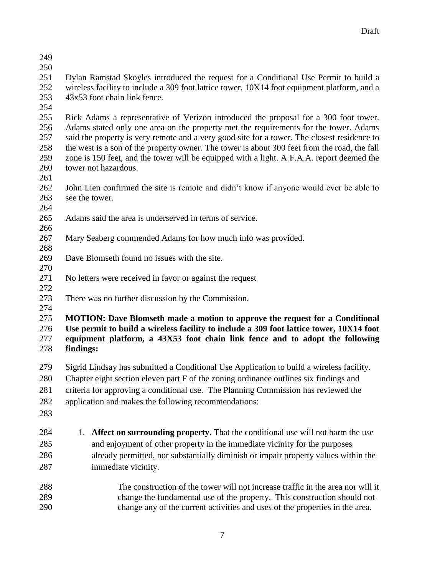- 
- 

 Dylan Ramstad Skoyles introduced the request for a Conditional Use Permit to build a wireless facility to include a 309 foot lattice tower, 10X14 foot equipment platform, and a 43x53 foot chain link fence.

 Rick Adams a representative of Verizon introduced the proposal for a 300 foot tower. Adams stated only one area on the property met the requirements for the tower. Adams said the property is very remote and a very good site for a tower. The closest residence to the west is a son of the property owner. The tower is about 300 feet from the road, the fall zone is 150 feet, and the tower will be equipped with a light. A F.A.A. report deemed the tower not hazardous.

 John Lien confirmed the site is remote and didn't know if anyone would ever be able to see the tower.

- Adams said the area is underserved in terms of service.
- Mary Seaberg commended Adams for how much info was provided.
- Dave Blomseth found no issues with the site.
- No letters were received in favor or against the request
- 

 There was no further discussion by the Commission. 

 **MOTION: Dave Blomseth made a motion to approve the request for a Conditional Use permit to build a wireless facility to include a 309 foot lattice tower, 10X14 foot equipment platform, a 43X53 foot chain link fence and to adopt the following findings:**

- Sigrid Lindsay has submitted a Conditional Use Application to build a wireless facility.
- Chapter eight section eleven part F of the zoning ordinance outlines six findings and
- criteria for approving a conditional use. The Planning Commission has reviewed the
- application and makes the following recommendations:
- 
- 1. **Affect on surrounding property.** That the conditional use will not harm the use and enjoyment of other property in the immediate vicinity for the purposes already permitted, nor substantially diminish or impair property values within the immediate vicinity.
- The construction of the tower will not increase traffic in the area nor will it change the fundamental use of the property. This construction should not change any of the current activities and uses of the properties in the area.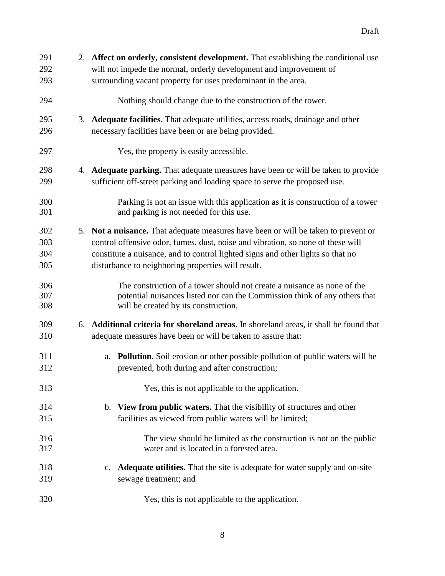| 291        | 2. Affect on orderly, consistent development. That establishing the conditional use                                                         |
|------------|---------------------------------------------------------------------------------------------------------------------------------------------|
| 292        | will not impede the normal, orderly development and improvement of                                                                          |
| 293        | surrounding vacant property for uses predominant in the area.                                                                               |
| 294        | Nothing should change due to the construction of the tower.                                                                                 |
| 295        | 3. Adequate facilities. That adequate utilities, access roads, drainage and other                                                           |
| 296        | necessary facilities have been or are being provided.                                                                                       |
| 297        | Yes, the property is easily accessible.                                                                                                     |
| 298        | 4. Adequate parking. That adequate measures have been or will be taken to provide                                                           |
| 299        | sufficient off-street parking and loading space to serve the proposed use.                                                                  |
| 300        | Parking is not an issue with this application as it is construction of a tower                                                              |
| 301        | and parking is not needed for this use.                                                                                                     |
| 302        | 5. Not a nuisance. That adequate measures have been or will be taken to prevent or                                                          |
| 303        | control offensive odor, fumes, dust, noise and vibration, so none of these will                                                             |
| 304        | constitute a nuisance, and to control lighted signs and other lights so that no                                                             |
| 305        | disturbance to neighboring properties will result.                                                                                          |
| 306        | The construction of a tower should not create a nuisance as none of the                                                                     |
| 307        | potential nuisances listed nor can the Commission think of any others that                                                                  |
| 308        | will be created by its construction.                                                                                                        |
| 309        | 6. Additional criteria for shoreland areas. In shoreland areas, it shall be found that                                                      |
| 310        | adequate measures have been or will be taken to assure that:                                                                                |
| 311<br>312 | <b>Pollution.</b> Soil erosion or other possible pollution of public waters will be<br>a.<br>prevented, both during and after construction; |
| 313        | Yes, this is not applicable to the application.                                                                                             |
| 314        | b. View from public waters. That the visibility of structures and other                                                                     |
| 315        | facilities as viewed from public waters will be limited;                                                                                    |
| 316        | The view should be limited as the construction is not on the public                                                                         |
| 317        | water and is located in a forested area.                                                                                                    |
| 318<br>319 | <b>Adequate utilities.</b> That the site is adequate for water supply and on-site<br>$\mathbf{c}$ .<br>sewage treatment; and                |
| 320        | Yes, this is not applicable to the application.                                                                                             |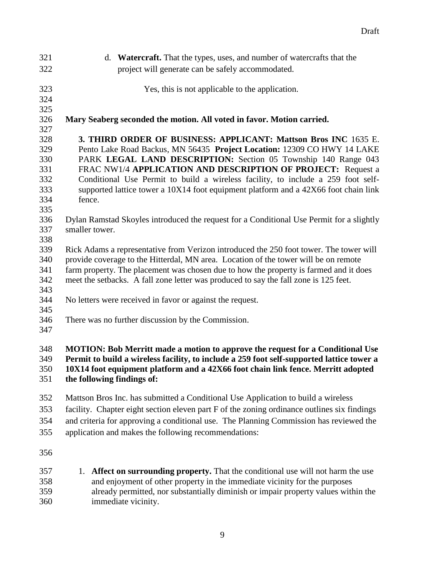| 321 | d. Watercraft. That the types, uses, and number of watercrafts that the                     |  |  |  |
|-----|---------------------------------------------------------------------------------------------|--|--|--|
| 322 | project will generate can be safely accommodated.                                           |  |  |  |
|     |                                                                                             |  |  |  |
| 323 | Yes, this is not applicable to the application.                                             |  |  |  |
| 324 |                                                                                             |  |  |  |
| 325 |                                                                                             |  |  |  |
| 326 | Mary Seaberg seconded the motion. All voted in favor. Motion carried.                       |  |  |  |
| 327 |                                                                                             |  |  |  |
| 328 | 3. THIRD ORDER OF BUSINESS: APPLICANT: Mattson Bros INC 1635 E.                             |  |  |  |
| 329 | Pento Lake Road Backus, MN 56435 Project Location: 12309 CO HWY 14 LAKE                     |  |  |  |
| 330 | PARK LEGAL LAND DESCRIPTION: Section 05 Township 140 Range 043                              |  |  |  |
| 331 | FRAC NW1/4 APPLICATION AND DESCRIPTION OF PROJECT: Request a                                |  |  |  |
| 332 | Conditional Use Permit to build a wireless facility, to include a 259 foot self-            |  |  |  |
| 333 | supported lattice tower a 10X14 foot equipment platform and a 42X66 foot chain link         |  |  |  |
| 334 | fence.                                                                                      |  |  |  |
| 335 |                                                                                             |  |  |  |
| 336 | Dylan Ramstad Skoyles introduced the request for a Conditional Use Permit for a slightly    |  |  |  |
| 337 | smaller tower.                                                                              |  |  |  |
| 338 |                                                                                             |  |  |  |
| 339 | Rick Adams a representative from Verizon introduced the 250 foot tower. The tower will      |  |  |  |
| 340 | provide coverage to the Hitterdal, MN area. Location of the tower will be on remote         |  |  |  |
| 341 | farm property. The placement was chosen due to how the property is farmed and it does       |  |  |  |
| 342 | meet the setbacks. A fall zone letter was produced to say the fall zone is 125 feet.        |  |  |  |
| 343 |                                                                                             |  |  |  |
| 344 | No letters were received in favor or against the request.                                   |  |  |  |
| 345 |                                                                                             |  |  |  |
| 346 | There was no further discussion by the Commission.                                          |  |  |  |
| 347 |                                                                                             |  |  |  |
|     |                                                                                             |  |  |  |
| 348 | <b>MOTION: Bob Merritt made a motion to approve the request for a Conditional Use</b>       |  |  |  |
| 349 | Permit to build a wireless facility, to include a 259 foot self-supported lattice tower a   |  |  |  |
| 350 | 10X14 foot equipment platform and a 42X66 foot chain link fence. Merritt adopted            |  |  |  |
| 351 | the following findings of:                                                                  |  |  |  |
|     |                                                                                             |  |  |  |
| 352 | Mattson Bros Inc. has submitted a Conditional Use Application to build a wireless           |  |  |  |
| 353 | facility. Chapter eight section eleven part F of the zoning ordinance outlines six findings |  |  |  |
| 354 | and criteria for approving a conditional use. The Planning Commission has reviewed the      |  |  |  |
| 355 | application and makes the following recommendations:                                        |  |  |  |
|     |                                                                                             |  |  |  |
| 356 |                                                                                             |  |  |  |
|     |                                                                                             |  |  |  |
| 357 | Affect on surrounding property. That the conditional use will not harm the use<br>1.        |  |  |  |
| 358 | and enjoyment of other property in the immediate vicinity for the purposes                  |  |  |  |
| 359 | already permitted, nor substantially diminish or impair property values within the          |  |  |  |

immediate vicinity.